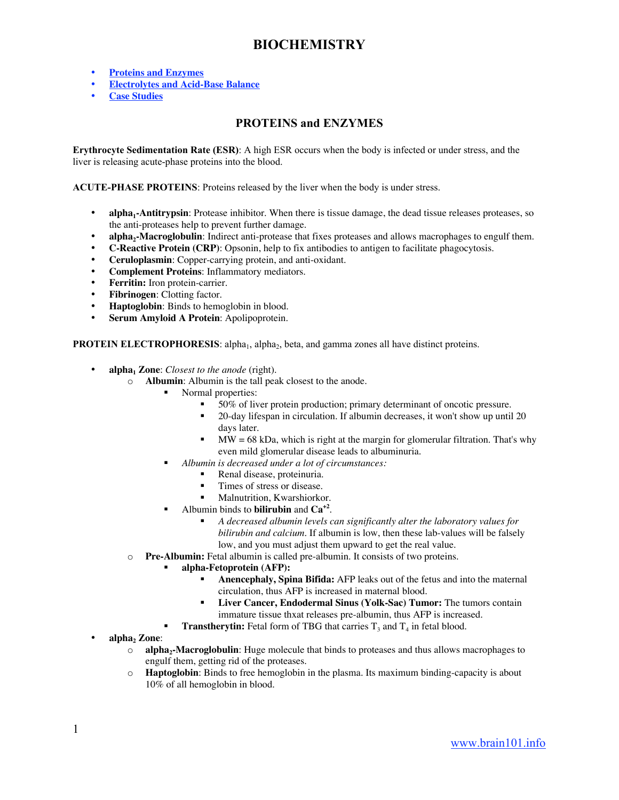# **BIOCHEMISTRY**

- **Proteins and Enzymes**
- **Electrolytes and Acid-Base Balance**
- **Case Studies**

# PROTEINS and ENZYMES

Erythrocyte Sedimentation Rate (ESR): A high ESR occurs when the body is infected or under stress, and the liver is releasing acute-phase proteins into the blood.

ACUTE-PHASE PROTEINS: Proteins released by the liver when the body is under stress.

- **alpha<sub>1</sub>-Antitrypsin**: Protease inhibitor. When there is tissue damage, the dead tissue releases proteases, so the anti-proteases help to prevent further damage.
- **alpha<sub>2</sub>-Macroglobulin**: Indirect anti-protease that fixes proteases and allows macrophages to engulf them.
- **C-Reactive Protein (CRP)**: Opsonin, help to fix antibodies to antigen to facilitate phagocytosis.
- **Ceruloplasmin**: Copper-carrying protein, and anti-oxidant.
- **Complement Proteins**: Inflammatory mediators.
- **Ferritin:** Iron protein-carrier.
- **Fibrinogen**: Clotting factor.
- **Haptoglobin**: Binds to hemoglobin in blood.
- **Serum Amyloid A Protein**: Apolipoprotein.

PROTEIN ELECTROPHORESIS: alpha<sub>1</sub>, alpha<sub>2</sub>, beta, and gamma zones all have distinct proteins.

- **alpha<sub>1</sub> Zone:** *Closest to the anode* (right).
	- o **Albumin**: Albumin is the tall peak closest to the anode.
		- Normal properties:
			- 50% of liver protein production; primary determinant of oncotic pressure.
			- 20-day lifespan in circulation. If albumin decreases, it won't show up until 20 days later.
			- $MW = 68$  kDa, which is right at the margin for glomerular filtration. That's why even mild glomerular disease leads to albuminuria.
			- *Albumin is decreased under a lot of circumstances:*
				- Renal disease, proteinuria.
				- Times of stress or disease.
				- **Malnutrition, Kwarshiorkor.**
		- Albumin binds to **bilirubin** and **Ca+2**.
			- *A decreased albumin levels can significantly alter the laboratory values for bilirubin and calcium.* If albumin is low, then these lab-values will be falsely low, and you must adjust them upward to get the real value.
	- o **Pre-Albumin:** Fetal albumin is called pre-albumin. It consists of two proteins.
		- **alpha-Fetoprotein (AFP):**
			- **Anencephaly, Spina Bifida:** AFP leaks out of the fetus and into the maternal circulation, thus AFP is increased in maternal blood.
			- **Liver Cancer, Endodermal Sinus (Yolk-Sac) Tumor:** The tumors contain immature tissue thxat releases pre-albumin, thus AFP is increased.
		- **Transtherytin:** Fetal form of TBG that carries  $T_3$  and  $T_4$  in fetal blood.
- alpha<sub>2</sub> Zone:
	- o **alpha2-Macroglobulin**: Huge molecule that binds to proteases and thus allows macrophages to engulf them, getting rid of the proteases.
	- o **Haptoglobin**: Binds to free hemoglobin in the plasma. Its maximum binding-capacity is about 10% of all hemoglobin in blood.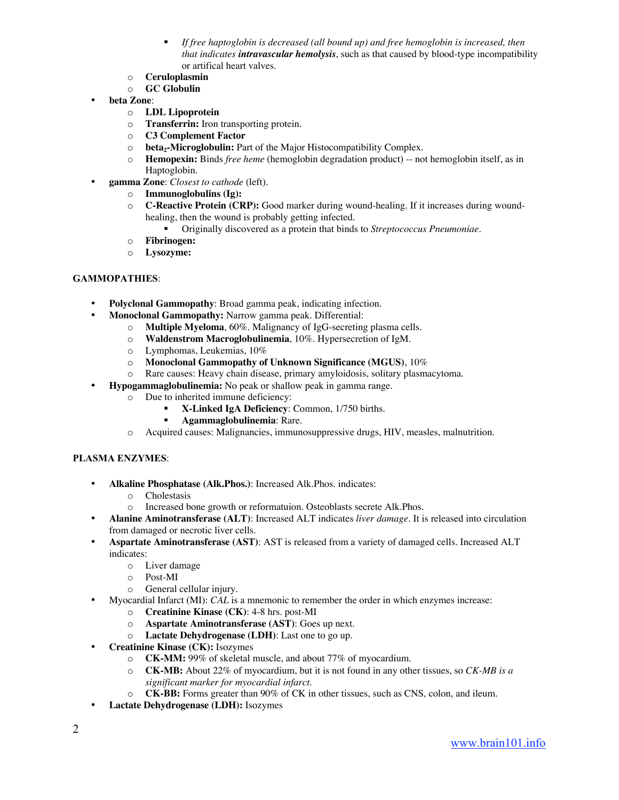- *If free haptoglobin is decreased (all bound up) and free hemoglobin is increased, then that indicates intravascular hemolysis*, such as that caused by blood-type incompatibility or artifical heart valves.
- o **Ceruloplasmin**
- o **GC Globulin**
- **beta Zone**:
	- o **LDL Lipoprotein**
	- o **Transferrin:** Iron transporting protein.
	- o **C3 Complement Factor**
	- $\circ$  **beta<sub>2</sub>-Microglobulin:** Part of the Major Histocompatibility Complex.<br>**Hemopexin:** Binds *free heme* (hemoglobin degradation product) -- no
	- **Hemopexin:** Binds *free heme* (hemoglobin degradation product) -- not hemoglobin itself, as in Haptoglobin.
	- **gamma Zone**: *Closest to cathode* (left).
		- o **Immunoglobulins (Ig):**
		- o **C-Reactive Protein (CRP):** Good marker during wound-healing. If it increases during woundhealing, then the wound is probably getting infected.
			- Originally discovered as a protein that binds to *Streptococcus Pneumoniae*.
		- o **Fibrinogen:**
		- o **Lysozyme:**

### GAMMOPATHIES:

- **Polyclonal Gammopathy:** Broad gamma peak, indicating infection.
	- **Monoclonal Gammopathy:** Narrow gamma peak. Differential:
		- o **Multiple Myeloma**, 60%. Malignancy of IgG-secreting plasma cells.
		- o **Waldenstrom Macroglobulinemia**, 10%. Hypersecretion of IgM.
		- o Lymphomas, Leukemias, 10%
		- o **Monoclonal Gammopathy of Unknown Significance (MGUS)**, 10%
		- o Rare causes: Heavy chain disease, primary amyloidosis, solitary plasmacytoma.
- **Hypogammaglobulinemia:** No peak or shallow peak in gamma range.
	- o Due to inherited immune deficiency:
		- **X-Linked IgA Deficiency**: Common, 1/750 births.
		- **Agammaglobulinemia**: Rare.
	- o Acquired causes: Malignancies, immunosuppressive drugs, HIV, measles, malnutrition.

### PLASMA ENZYMES:

- **Alkaline Phosphatase (Alk.Phos.)**: Increased Alk.Phos. indicates:
	- o Cholestasis
	- o Increased bone growth or reformatuion. Osteoblasts secrete Alk.Phos.
- **Alanine Aminotransferase (ALT)**: Increased ALT indicates *liver damage*. It is released into circulation from damaged or necrotic liver cells.
- **Aspartate Aminotransferase (AST)**: AST is released from a variety of damaged cells. Increased ALT indicates:
	- o Liver damage
	- o Post-MI
	- o General cellular injury.
- Myocardial Infarct (MI): *CAL* is a mnemonic to remember the order in which enzymes increase:
	- o **Creatinine Kinase (CK)**: 4-8 hrs. post-MI
	- o **Aspartate Aminotransferase (AST)**: Goes up next.
	- o **Lactate Dehydrogenase (LDH)**: Last one to go up.
- **Creatinine Kinase (CK):** Isozymes
	- o **CK-MM:** 99% of skeletal muscle, and about 77% of myocardium.
	- o **CK-MB:** About 22% of myocardium, but it is not found in any other tissues, so *CK-MB is a significant marker for myocardial infarct.*
	- o **CK-BB:** Forms greater than 90% of CK in other tissues, such as CNS, colon, and ileum.
- **Lactate Dehydrogenase (LDH):** Isozymes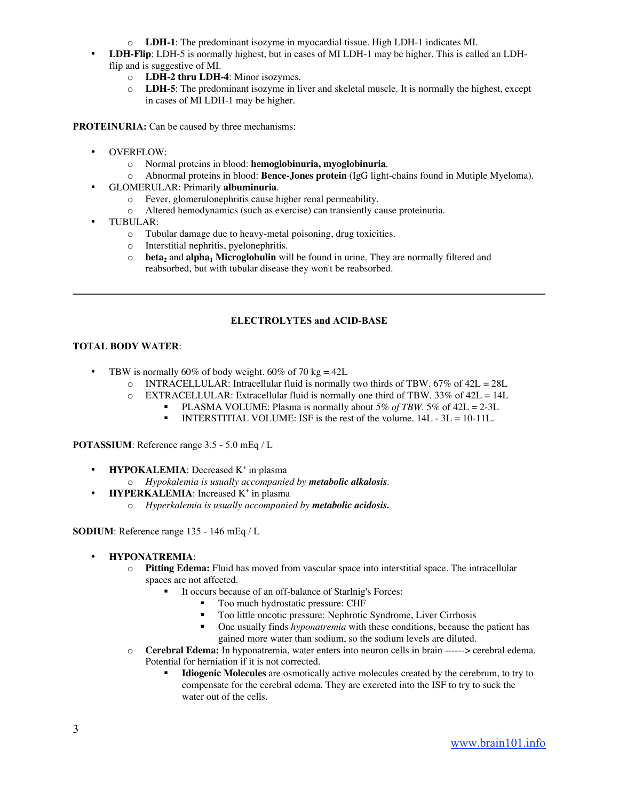- o **LDH-1**: The predominant isozyme in myocardial tissue. High LDH-1 indicates MI.
- **LDH-Flip**: LDH-5 is normally highest, but in cases of MI LDH-1 may be higher. This is called an LDHflip and is suggestive of MI.
	- o **LDH-2 thru LDH-4**: Minor isozymes.
	- o **LDH-5**: The predominant isozyme in liver and skeletal muscle. It is normally the highest, except in cases of MI LDH-1 may be higher.

PROTEINURIA: Can be caused by three mechanisms:

- OVERFLOW:
	- o Normal proteins in blood: **hemoglobinuria, myoglobinuria**.
	- o Abnormal proteins in blood: **Bence-Jones protein** (IgG light-chains found in Mutiple Myeloma).
- GLOMERULAR: Primarily **albuminuria**.
	- o Fever, glomerulonephritis cause higher renal permeability.
	- o Altered hemodynamics (such as exercise) can transiently cause proteinuria.
- TUBULAR:
	- o Tubular damage due to heavy-metal poisoning, drug toxicities.
	- o Interstitial nephritis, pyelonephritis.
	- $\circ$  **beta<sub>2</sub>** and **alpha<sub>1</sub>** Microglobulin will be found in urine. They are normally filtered and reabsorbed, but with tubular disease they won't be reabsorbed.

#### ELECTROLYTES and ACID-BASE

#### TOTAL BODY WATER:

- TBW is normally 60% of body weight. 60% of 70 kg = 42L
	- $\circ$  INTRACELLULAR: Intracellular fluid is normally two thirds of TBW. 67% of 42L = 28L
	- $\circ$  EXTRACELLULAR: Extracellular fluid is normally one third of TBW. 33% of 42L = 14L
		- **PLASMA VOLUME:** Plasma is normally about  $5\%$  of TBW.  $5\%$  of  $42L = 2-3L$ 
			- INTERSTITIAL VOLUME: ISF is the rest of the volume.  $14L 3L = 10-11L$ .

POTASSIUM: Reference range 3.5 - 5.0 mEq / L

- **HYPOKALEMIA**: Decreased K<sup>+</sup> in plasma
	- o *Hypokalemia is usually accompanied by metabolic alkalosis*.
- **HYPERKALEMIA**: Increased K<sup>+</sup> in plasma
	- o *Hyperkalemia is usually accompanied by metabolic acidosis.*

SODIUM: Reference range 135 - 146 mEq / L

- **HYPONATREMIA**:
	- o **Pitting Edema:** Fluid has moved from vascular space into interstitial space. The intracellular spaces are not affected.
		- It occurs because of an off-balance of Starlnig's Forces:
			- Too much hydrostatic pressure: CHF
			- Too little oncotic pressure: Nephrotic Syndrome, Liver Cirrhosis
			- **•** One usually finds *hyponatremia* with these conditions, because the patient has gained more water than sodium, so the sodium levels are diluted.
	- o **Cerebral Edema:** In hyponatremia, water enters into neuron cells in brain ------> cerebral edema. Potential for herniation if it is not corrected.
		- **Idiogenic Molecules** are osmotically active molecules created by the cerebrum, to try to compensate for the cerebral edema. They are excreted into the ISF to try to suck the water out of the cells.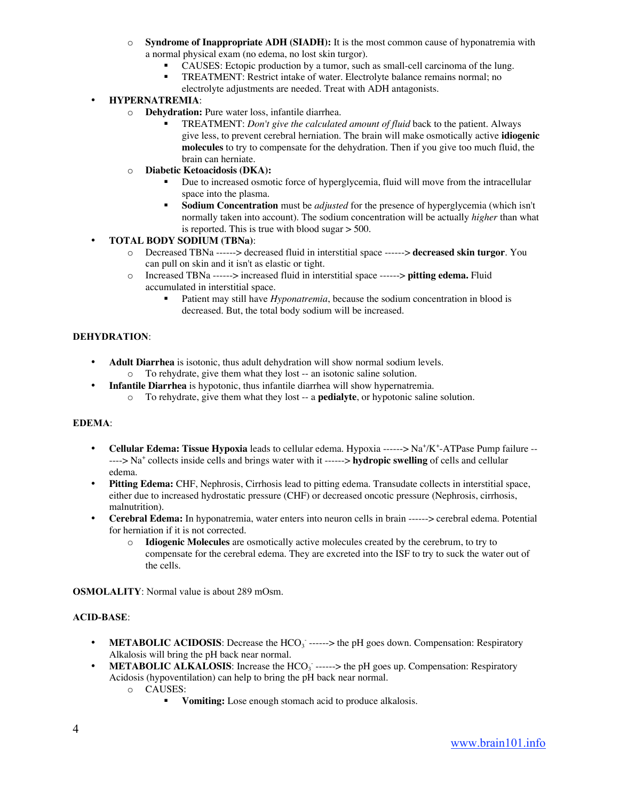- o **Syndrome of Inappropriate ADH (SIADH):** It is the most common cause of hyponatremia with a normal physical exam (no edema, no lost skin turgor).
	- CAUSES: Ectopic production by a tumor, such as small-cell carcinoma of the lung.
	- TREATMENT: Restrict intake of water. Electrolyte balance remains normal; no electrolyte adjustments are needed. Treat with ADH antagonists.

# • **HYPERNATREMIA**:

- o **Dehydration:** Pure water loss, infantile diarrhea.
	- TREATMENT: *Don't give the calculated amount of fluid* back to the patient. Always give less, to prevent cerebral herniation. The brain will make osmotically active **idiogenic molecules** to try to compensate for the dehydration. Then if you give too much fluid, the brain can herniate.
- o **Diabetic Ketoacidosis (DKA):**
	- Due to increased osmotic force of hyperglycemia, fluid will move from the intracellular space into the plasma.
	- **Sodium Concentration** must be *adjusted* for the presence of hyperglycemia (which isn't normally taken into account). The sodium concentration will be actually *higher* than what is reported. This is true with blood sugar  $>$  500.

# • **TOTAL BODY SODIUM (TBNa)**:

- o Decreased TBNa ------> decreased fluid in interstitial space ------> **decreased skin turgor**. You can pull on skin and it isn't as elastic or tight.
- o Increased TBNa ------> increased fluid in interstitial space ------> **pitting edema.** Fluid accumulated in interstitial space.
	- Patient may still have *Hyponatremia*, because the sodium concentration in blood is decreased. But, the total body sodium will be increased.

# DEHYDRATION:

- **Adult Diarrhea** is isotonic, thus adult dehydration will show normal sodium levels.
	- o To rehydrate, give them what they lost -- an isotonic saline solution.
- **Infantile Diarrhea** is hypotonic, thus infantile diarrhea will show hypernatremia.
	- o To rehydrate, give them what they lost -- a **pedialyte**, or hypotonic saline solution.

### EDEMA:

- Cellular Edema: Tissue Hypoxia leads to cellular edema. Hypoxia -----> Na<sup>+</sup>/K<sup>+</sup>-ATPase Pump failure ------> Na<sup>+</sup> collects inside cells and brings water with it ------> **hydropic swelling** of cells and cellular edema.
- **Pitting Edema:** CHF, Nephrosis, Cirrhosis lead to pitting edema. Transudate collects in interstitial space, either due to increased hydrostatic pressure (CHF) or decreased oncotic pressure (Nephrosis, cirrhosis, malnutrition).
- **Cerebral Edema:** In hyponatremia, water enters into neuron cells in brain ------> cerebral edema. Potential for herniation if it is not corrected.
	- o **Idiogenic Molecules** are osmotically active molecules created by the cerebrum, to try to compensate for the cerebral edema. They are excreted into the ISF to try to suck the water out of the cells.

OSMOLALITY: Normal value is about 289 mOsm.

### ACID-BASE:

- METABOLIC ACIDOSIS: Decrease the HCO<sub>3</sub> ------> the pH goes down. Compensation: Respiratory Alkalosis will bring the pH back near normal.
- METABOLIC ALKALOSIS: Increase the HCO<sub>3</sub> ------> the pH goes up. Compensation: Respiratory Acidosis (hypoventilation) can help to bring the pH back near normal.
	- o CAUSES:
		- **Vomiting:** Lose enough stomach acid to produce alkalosis.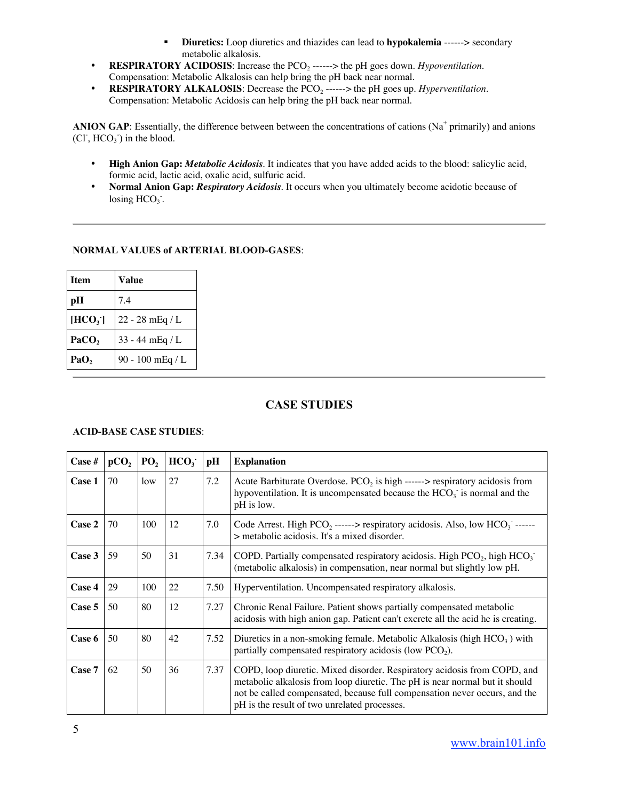- **Diuretics:** Loop diuretics and thiazides can lead to **hypokalemia** ------> secondary metabolic alkalosis.
- **RESPIRATORY ACIDOSIS**: Increase the PCO<sub>2</sub> ------> the pH goes down. *Hypoventilation*. Compensation: Metabolic Alkalosis can help bring the pH back near normal.
- **RESPIRATORY ALKALOSIS**: Decrease the  $PCO_2$  ------> the pH goes up. *Hyperventilation*. Compensation: Metabolic Acidosis can help bring the pH back near normal.

ANION GAP: Essentially, the difference between between the concentrations of cations ( $Na<sup>+</sup>$  primarily) and anions  $(CI^{\dagger}, HCO<sub>3</sub>^{\dagger})$  in the blood.

- **High Anion Gap:** *Metabolic Acidosis.* It indicates that you have added acids to the blood: salicylic acid, formic acid, lactic acid, oxalic acid, sulfuric acid.
- **Normal Anion Gap:** *Respiratory Acidosis.* It occurs when you ultimately become acidotic because of losing  $HCO<sub>3</sub>$ .

# NORMAL VALUES of ARTERIAL BLOOD-GASES:

| <b>Item</b>      | Value            |  |
|------------------|------------------|--|
| pН               | 7.4              |  |
| $[\text{HCO}_3]$ | 22 - 28 mEq / L  |  |
| PaCO,            | 33 - 44 mEq / L  |  |
| PaO,             | 90 - 100 mEq / L |  |

# CASE STUDIES

### ACID-BASE CASE STUDIES:

| Case # | pCO <sub>2</sub> | $P_2$ | HCO <sub>3</sub> | pН   | <b>Explanation</b>                                                                                                                                                                                                                                                                    |  |
|--------|------------------|-------|------------------|------|---------------------------------------------------------------------------------------------------------------------------------------------------------------------------------------------------------------------------------------------------------------------------------------|--|
| Case 1 | 70               | low   | 27               | 7.2  | Acute Barbiturate Overdose. $PCO2$ is high ------> respiratory acidosis from<br>hypoventilation. It is uncompensated because the $HCO3$ is normal and the<br>pH is low.                                                                                                               |  |
| Case 2 | 70               | 100   | 12               | 7.0  | Code Arrest. High $PCO_2$ ------> respiratory acidosis. Also, low $HCO_3$ ------<br>> metabolic acidosis. It's a mixed disorder.                                                                                                                                                      |  |
| Case 3 | 59               | 50    | 31               | 7.34 | COPD. Partially compensated respiratory acidosis. High $PCO2$ , high $HCO3$<br>(metabolic alkalosis) in compensation, near normal but slightly low pH.                                                                                                                                |  |
| Case 4 | 29               | 100   | 22               | 7.50 | Hyperventilation. Uncompensated respiratory alkalosis.                                                                                                                                                                                                                                |  |
| Case 5 | 50               | 80    | 12               | 7.27 | Chronic Renal Failure. Patient shows partially compensated metabolic<br>acidosis with high anion gap. Patient can't excrete all the acid he is creating.                                                                                                                              |  |
| Case 6 | 50               | 80    | 42               | 7.52 | Diuretics in a non-smoking female. Metabolic Alkalosis (high $HCO3$ ) with<br>partially compensated respiratory acidosis (low $PCO2$ ).                                                                                                                                               |  |
| Case 7 | 62               | 50    | 36               | 7.37 | COPD, loop diuretic. Mixed disorder. Respiratory acidosis from COPD, and<br>metabolic alkalosis from loop diuretic. The pH is near normal but it should<br>not be called compensated, because full compensation never occurs, and the<br>pH is the result of two unrelated processes. |  |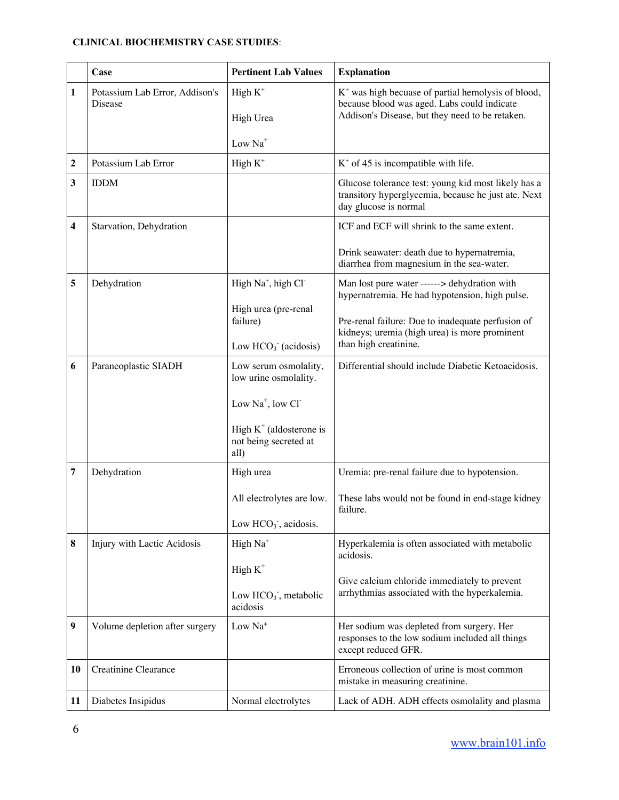# CLINICAL BIOCHEMISTRY CASE STUDIES:

|                | <b>Case</b>                               | <b>Pertinent Lab Values</b>                                           | <b>Explanation</b>                                                                                                                                      |
|----------------|-------------------------------------------|-----------------------------------------------------------------------|---------------------------------------------------------------------------------------------------------------------------------------------------------|
| 1              | Potassium Lab Error, Addison's<br>Disease | High $K^+$<br>High Urea<br>Low Na <sup>+</sup>                        | $K^+$ was high becuase of partial hemolysis of blood,<br>because blood was aged. Labs could indicate<br>Addison's Disease, but they need to be retaken. |
| 2              | Potassium Lab Error                       | High $K^+$                                                            | $K^+$ of 45 is incompatible with life.                                                                                                                  |
| 3              | <b>IDDM</b>                               |                                                                       | Glucose tolerance test: young kid most likely has a<br>transitory hyperglycemia, because he just ate. Next<br>day glucose is normal                     |
| 4              | Starvation, Dehydration                   |                                                                       | ICF and ECF will shrink to the same extent.<br>Drink seawater: death due to hypernatremia,                                                              |
|                |                                           |                                                                       | diarrhea from magnesium in the sea-water.                                                                                                               |
| 5              | Dehydration                               | High Na <sup>+</sup> , high Cl <sup>-</sup>                           | Man lost pure water ------> dehydration with<br>hypernatremia. He had hypotension, high pulse.                                                          |
|                |                                           | High urea (pre-renal<br>failure)<br>Low $HCO3$ (acidosis)             | Pre-renal failure: Due to inadequate perfusion of<br>kidneys; uremia (high urea) is more prominent<br>than high creatinine.                             |
| 6              | Paraneoplastic SIADH                      | Low serum osmolality,<br>low urine osmolality.<br>Low $Na^+$ , low Cl | Differential should include Diabetic Ketoacidosis.                                                                                                      |
|                |                                           | High $K^+$ (aldosterone is<br>not being secreted at<br>all)           |                                                                                                                                                         |
| $\overline{7}$ | Dehydration                               | High urea                                                             | Uremia: pre-renal failure due to hypotension.                                                                                                           |
|                |                                           | All electrolytes are low.                                             | These labs would not be found in end-stage kidney<br>failure.                                                                                           |
|                |                                           | Low $HCO3$ , acidosis.                                                |                                                                                                                                                         |
| 8              | Injury with Lactic Acidosis               | High Na <sup>+</sup>                                                  | Hyperkalemia is often associated with metabolic<br>acidosis.                                                                                            |
|                |                                           | High $K^+$                                                            |                                                                                                                                                         |
|                |                                           | Low $HCO3$ , metabolic<br>acidosis                                    | Give calcium chloride immediately to prevent<br>arrhythmias associated with the hyperkalemia.                                                           |
| 9              | Volume depletion after surgery            | Low Na <sup>+</sup>                                                   | Her sodium was depleted from surgery. Her<br>responses to the low sodium included all things<br>except reduced GFR.                                     |
| <b>10</b>      | Creatinine Clearance                      |                                                                       | Erroneous collection of urine is most common<br>mistake in measuring creatinine.                                                                        |
| 11             | Diabetes Insipidus                        | Normal electrolytes                                                   | Lack of ADH. ADH effects osmolality and plasma                                                                                                          |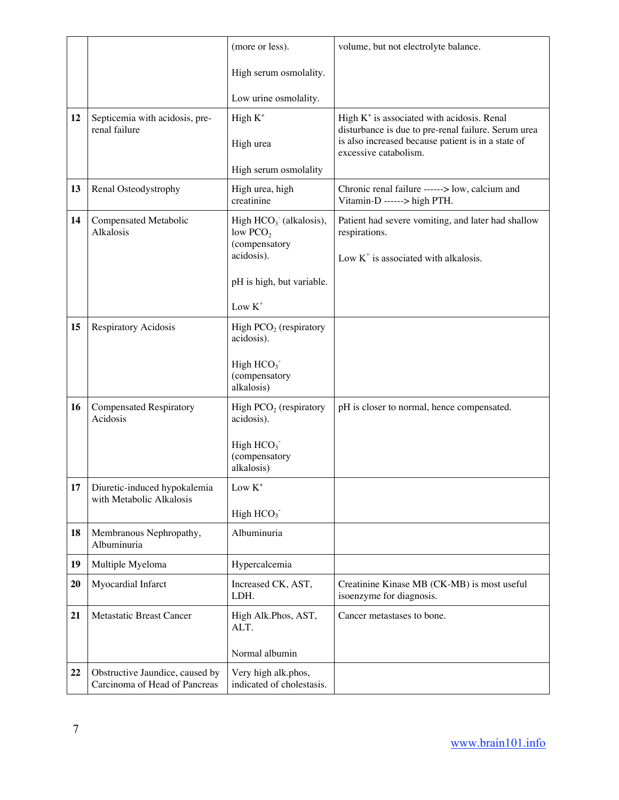|    |                                                                  | (more or less).                                  | volume, but not electrolyte balance.                                                                                               |
|----|------------------------------------------------------------------|--------------------------------------------------|------------------------------------------------------------------------------------------------------------------------------------|
|    |                                                                  | High serum osmolality.                           |                                                                                                                                    |
|    |                                                                  | Low urine osmolality.                            |                                                                                                                                    |
| 12 | Septicemia with acidosis, pre-                                   | High $K^+$                                       | High $K^+$ is associated with acidosis. Renal                                                                                      |
|    | renal failure                                                    | High urea                                        | disturbance is due to pre-renal failure. Serum urea<br>is also increased because patient is in a state of<br>excessive catabolism. |
|    |                                                                  | High serum osmolality                            |                                                                                                                                    |
| 13 | Renal Osteodystrophy                                             | High urea, high<br>creatinine                    | Chronic renal failure ------> low, calcium and<br>Vitamin-D ------> high PTH.                                                      |
| 14 | Compensated Metabolic<br>Alkalosis                               | High $HCO3$ (alkalosis),<br>low $PCO2$           | Patient had severe vomiting, and later had shallow<br>respirations.                                                                |
|    |                                                                  | (compensatory<br>acidosis).                      | Low $K^+$ is associated with alkalosis.                                                                                            |
|    |                                                                  | pH is high, but variable.                        |                                                                                                                                    |
|    |                                                                  | Low $K^+$                                        |                                                                                                                                    |
| 15 | Respiratory Acidosis                                             | High $PCO2$ (respiratory<br>acidosis).           |                                                                                                                                    |
|    |                                                                  | High $HCO3$<br>(compensatory<br>alkalosis)       |                                                                                                                                    |
| 16 | <b>Compensated Respiratory</b><br>Acidosis                       | High $PCO2$ (respiratory<br>acidosis).           | pH is closer to normal, hence compensated.                                                                                         |
|    |                                                                  | High $HCO3$<br>(compensatory<br>alkalosis)       |                                                                                                                                    |
| 17 | Diuretic-induced hypokalemia<br>with Metabolic Alkalosis         | Low $K^+$                                        |                                                                                                                                    |
|    |                                                                  | High $HCO3$                                      |                                                                                                                                    |
| 18 | Membranous Nephropathy,<br>Albuminuria                           | Albuminuria                                      |                                                                                                                                    |
| 19 | Multiple Myeloma                                                 | Hypercalcemia                                    |                                                                                                                                    |
| 20 | Myocardial Infarct                                               | Increased CK, AST,<br>LDH.                       | Creatinine Kinase MB (CK-MB) is most useful<br>isoenzyme for diagnosis.                                                            |
| 21 | <b>Metastatic Breast Cancer</b>                                  | High Alk.Phos, AST,<br>ALT.                      | Cancer metastases to bone.                                                                                                         |
|    |                                                                  | Normal albumin                                   |                                                                                                                                    |
| 22 | Obstructive Jaundice, caused by<br>Carcinoma of Head of Pancreas | Very high alk.phos,<br>indicated of cholestasis. |                                                                                                                                    |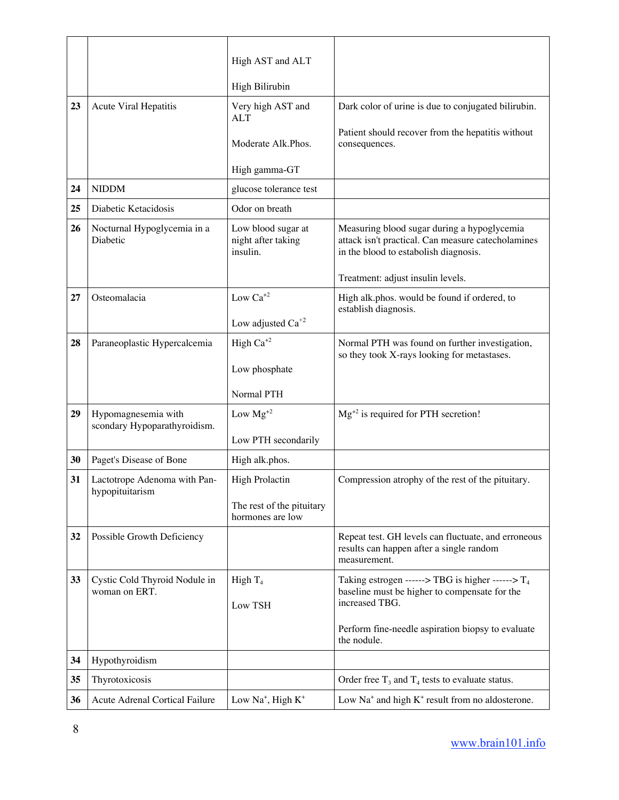|    |                                                     | High AST and ALT                                     |                                                                                                                                            |
|----|-----------------------------------------------------|------------------------------------------------------|--------------------------------------------------------------------------------------------------------------------------------------------|
|    |                                                     | High Bilirubin                                       |                                                                                                                                            |
| 23 | Acute Viral Hepatitis                               | Very high AST and<br><b>ALT</b>                      | Dark color of urine is due to conjugated bilirubin.                                                                                        |
|    |                                                     | Moderate Alk.Phos.                                   | Patient should recover from the hepatitis without<br>consequences.                                                                         |
|    |                                                     | High gamma-GT                                        |                                                                                                                                            |
| 24 | <b>NIDDM</b>                                        | glucose tolerance test                               |                                                                                                                                            |
| 25 | Diabetic Ketacidosis                                | Odor on breath                                       |                                                                                                                                            |
| 26 | Nocturnal Hypoglycemia in a<br>Diabetic             | Low blood sugar at<br>night after taking<br>insulin. | Measuring blood sugar during a hypoglycemia<br>attack isn't practical. Can measure catecholamines<br>in the blood to estabolish diagnosis. |
|    |                                                     |                                                      | Treatment: adjust insulin levels.                                                                                                          |
| 27 | Osteomalacia                                        | Low $Ca^{+2}$                                        | High alk.phos. would be found if ordered, to<br>establish diagnosis.                                                                       |
|    |                                                     | Low adjusted $Ca^{+2}$                               |                                                                                                                                            |
| 28 | Paraneoplastic Hypercalcemia                        | High $Ca^{+2}$                                       | Normal PTH was found on further investigation,<br>so they took X-rays looking for metastases.                                              |
|    |                                                     | Low phosphate                                        |                                                                                                                                            |
|    |                                                     | Normal PTH                                           |                                                                                                                                            |
| 29 | Hypomagnesemia with<br>scondary Hypoparathyroidism. | Low $Mg^{+2}$                                        | $Mg^{2}$ is required for PTH secretion!                                                                                                    |
|    |                                                     | Low PTH secondarily                                  |                                                                                                                                            |
| 30 | Paget's Disease of Bone                             | High alk.phos.                                       |                                                                                                                                            |
| 31 | Lactotrope Adenoma with Pan-                        | <b>High Prolactin</b>                                | Compression atrophy of the rest of the pituitary.                                                                                          |
|    | hypopituitarism                                     | The rest of the pituitary                            |                                                                                                                                            |
|    |                                                     | hormones are low                                     |                                                                                                                                            |
| 32 | Possible Growth Deficiency                          |                                                      | Repeat test. GH levels can fluctuate, and erroneous<br>results can happen after a single random<br>measurement.                            |
| 33 | Cystic Cold Thyroid Nodule in<br>woman on ERT.      | High $T_4$<br>Low TSH                                | Taking estrogen ------> TBG is higher ------> $T_4$<br>baseline must be higher to compensate for the<br>increased TBG.                     |
|    |                                                     |                                                      | Perform fine-needle aspiration biopsy to evaluate<br>the nodule.                                                                           |
| 34 | Hypothyroidism                                      |                                                      |                                                                                                                                            |
| 35 | Thyrotoxicosis                                      |                                                      | Order free $T_3$ and $T_4$ tests to evaluate status.                                                                                       |
| 36 | Acute Adrenal Cortical Failure                      | Low Na <sup>+</sup> , High K <sup>+</sup>            | Low $Na^+$ and high $K^+$ result from no aldosterone.                                                                                      |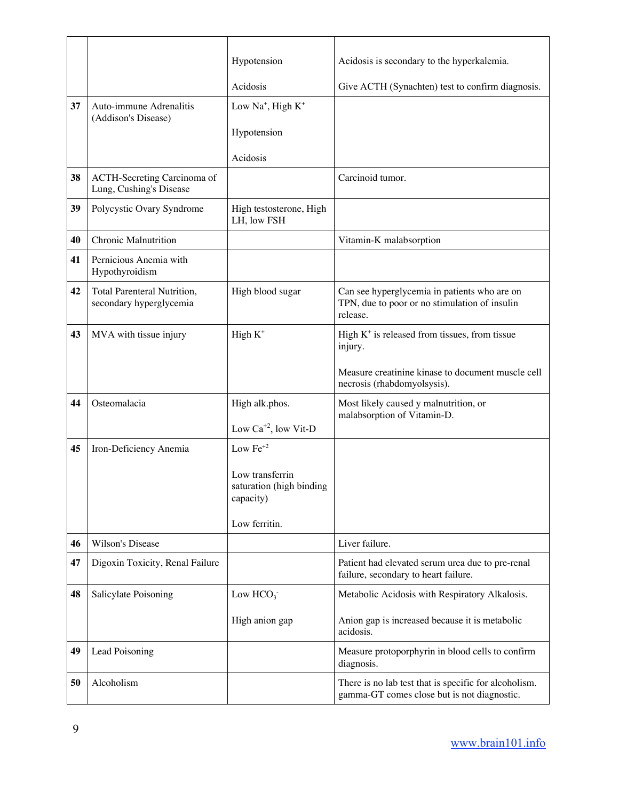|    |                                                               | Hypotension                                              | Acidosis is secondary to the hyperkalemia.                                                                |
|----|---------------------------------------------------------------|----------------------------------------------------------|-----------------------------------------------------------------------------------------------------------|
|    |                                                               | Acidosis                                                 | Give ACTH (Synachten) test to confirm diagnosis.                                                          |
| 37 | Auto-immune Adrenalitis<br>(Addison's Disease)                | Low Na <sup>+</sup> , High $K^+$                         |                                                                                                           |
|    |                                                               | Hypotension                                              |                                                                                                           |
|    |                                                               | Acidosis                                                 |                                                                                                           |
| 38 | ACTH-Secreting Carcinoma of<br>Lung, Cushing's Disease        |                                                          | Carcinoid tumor.                                                                                          |
| 39 | Polycystic Ovary Syndrome                                     | High testosterone, High<br>LH, low FSH                   |                                                                                                           |
| 40 | <b>Chronic Malnutrition</b>                                   |                                                          | Vitamin-K malabsorption                                                                                   |
| 41 | Pernicious Anemia with<br>Hypothyroidism                      |                                                          |                                                                                                           |
| 42 | <b>Total Parenteral Nutrition,</b><br>secondary hyperglycemia | High blood sugar                                         | Can see hyperglycemia in patients who are on<br>TPN, due to poor or no stimulation of insulin<br>release. |
| 43 | MVA with tissue injury                                        | High $K^+$                                               | High $K^+$ is released from tissues, from tissue<br>injury.                                               |
|    |                                                               |                                                          | Measure creatinine kinase to document muscle cell<br>necrosis (rhabdomyolsysis).                          |
| 44 | Osteomalacia                                                  | High alk.phos.                                           | Most likely caused y malnutrition, or<br>malabsorption of Vitamin-D.                                      |
|    |                                                               | Low $Ca^{+2}$ , low Vit-D                                |                                                                                                           |
| 45 | Iron-Deficiency Anemia                                        | Low $Fe+2$                                               |                                                                                                           |
|    |                                                               | Low transferrin<br>saturation (high binding<br>capacity) |                                                                                                           |
|    |                                                               | Low ferritin.                                            |                                                                                                           |
| 46 | Wilson's Disease                                              |                                                          | Liver failure.                                                                                            |
| 47 | Digoxin Toxicity, Renal Failure                               |                                                          | Patient had elevated serum urea due to pre-renal<br>failure, secondary to heart failure.                  |
| 48 | Salicylate Poisoning                                          | Low $HCO3$                                               | Metabolic Acidosis with Respiratory Alkalosis.                                                            |
|    |                                                               | High anion gap                                           | Anion gap is increased because it is metabolic<br>acidosis.                                               |
| 49 | Lead Poisoning                                                |                                                          | Measure protoporphyrin in blood cells to confirm<br>diagnosis.                                            |
| 50 | Alcoholism                                                    |                                                          | There is no lab test that is specific for alcoholism.<br>gamma-GT comes close but is not diagnostic.      |